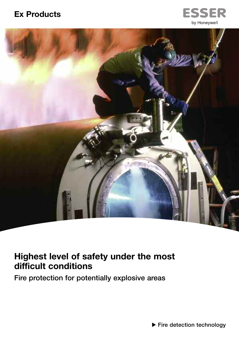## **Ex Products**





# **Highest level of safety under the most difficult conditions**

**Fire protection for potentially explosive areas**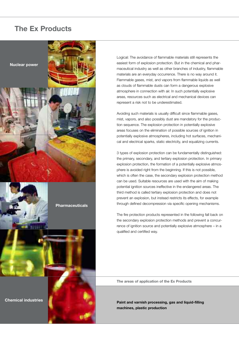## **The Ex Products**

**Pharmaceuticals**

**Nuclear power**

Logical: The avoidance of flammable materials still represents the easiest form of explosion protection. But in the chemical and pharmaceutical industry as well as other branches of industry, flammable materials are an everyday occurrence. There is no way around it. Flammable gases, mist, and vapors from flammable liquids as well as clouds of flammable dusts can form a dangerous explosive atmosphere in connection with air. In such potentially explosive areas, resources such as electrical and mechanical devices can represent a risk not to be underestimated.

Avoiding such materials is usually difficult since flammable gases, mist, vapors, and also possibly dust are mandatory for the production sequence. The explosion protection in potentially explosive areas focuses on the elimination of possible sources of ignition in potentially explosive atmospheres, including hot surfaces, mechanical and electrical sparks, static electricity, and equalizing currents.

3 types of explosion protection can be fundamentally distinguished: the primary, secondary, and tertiary explosion protection. In primary explosion protection, the formation of a potentially explosive atmosphere is avoided right from the beginning. If this is not possible, which is often the case, the secondary explosion protection method can be used. Suitable resources are used with the aim of making potential ignition sources ineffective in the endangered areas. The third method is called tertiary explosion protection and does not prevent an explosion, but instead restricts its effects, for example through defined decompression via specific opening mechanisms.

The fire protection products represented in the following fall back on the secondary explosion protection methods and prevent a concurrence of ignition source and potentially explosive atmosphere – in a qualified and certified way.

**The areas of application of the Ex Products**

**Paint and varnish processing, gas and liquid-filling machines, plastic production**

**Chemical industries**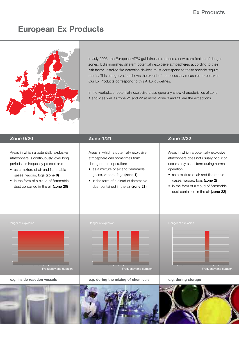## **European Ex Products**



In July 2003, the European ATEX guidelines introduced a new classification of danger zones. It distinguishes different potentially explosive atmospheres according to their risk factor. Installed fire detection devices must correspond to these specific requirements. This categorization shows the extent of the necessary measures to be taken. Our Ex Products correspond to this ATEX guidelines.

In the workplace, potentially explosive areas generally show characteristics of zone 1 and 2 as well as zone 21 and 22 at most. Zone 0 and 20 are the exceptions.

Areas in which a potentially explosive atmosphere is continuously, over long periods, or frequently present are:

- as a mixture of air and flammable gases, vapors, fogs **(zone 0)**
- in the form of a cloud of flammable dust contained in the air **(zone 20)**

Areas in which a potentially explosive atmosphere can sometimes form during normal operation:

- as a mixture of air and flammable gases, vapors, fogs **(zone 1)**
- in the form of a cloud of flammable dust contained in the air **(zone 21)**

## **Zone 0/20 Zone 1/21 Zone 2/22**

Areas in which a potentially explosive atmosphere does not usually occur or occurs only short-term during normal operation:

- as a mixture of air and flammable gases, vapors, fogs **(zone 2)**
- in the form of a cloud of flammable dust contained in the air **(zone 22)**





**e.g. inside reaction vessels e.g. during the mixing of chemicals e.g. during storage**

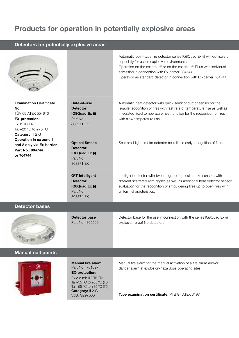# **Products for operation in potentially explosive areas**

| Detectors for potentially explosive areas                                                                                                                                                                                                    |                                                                                                                                                                                                     |                                                                                                                                                                                                                                                                                                                              |  |  |
|----------------------------------------------------------------------------------------------------------------------------------------------------------------------------------------------------------------------------------------------|-----------------------------------------------------------------------------------------------------------------------------------------------------------------------------------------------------|------------------------------------------------------------------------------------------------------------------------------------------------------------------------------------------------------------------------------------------------------------------------------------------------------------------------------|--|--|
|                                                                                                                                                                                                                                              |                                                                                                                                                                                                     | Automatic point-type fire detector series IQ8Quad Ex (i) without isolator<br>especially for use in explosive environments.<br>Operation on the esserbus® or on the esserbus®-PLus with individual<br>adressing in connection with Ex-barrier 804744.<br>Operation as standard detector in connection with Ex-barrier 764744. |  |  |
| <b>Examination Certificate</b><br>$No.$ :<br>TÜV 09 ATEX 554910<br><b>EX-protection:</b><br>Ex ib IIC T4<br>Ta: -20 °C to +70 °C<br>Category: Il 2 G<br>Operation in ex zone 1<br>and 2 only via Ex-barrier<br>Part No.: 804744<br>or 764744 | Rate-of-rise<br><b>Detector</b><br>IQ8Quad Ex (i)<br>Part No.:<br>803271.FX                                                                                                                         | Automatic heat detector with quick semiconductor sensor for the<br>reliable recognition of fires with fast rate of temperature rise as well as<br>integrated fixed temperature heat function for the recognition of fires<br>with slow temperature rise.                                                                     |  |  |
|                                                                                                                                                                                                                                              | <b>Optical Smoke</b><br><b>Detector</b><br>IQ8Quad Ex (i)<br>Part No.:<br>803371.EX                                                                                                                 | Scattered-light smoke detector for reliable early recognition of fires.                                                                                                                                                                                                                                                      |  |  |
|                                                                                                                                                                                                                                              | O <sup>2</sup> T Intelligent<br><b>Detector</b><br>IQ8Quad Ex (i)<br>Part No.:<br>803374.EX                                                                                                         | Intelligent detector with two integrated optical smoke sensors with<br>different scattered-light angles as well as additional heat detector sensor<br>evaluation for the recognition of smouldering fires up to open fires with<br>uniform characteristics.                                                                  |  |  |
| Detector bases                                                                                                                                                                                                                               |                                                                                                                                                                                                     |                                                                                                                                                                                                                                                                                                                              |  |  |
|                                                                                                                                                                                                                                              | Detector base<br>Part No.: 805590                                                                                                                                                                   | Detector base for the use in connection with the series IQ8Quad Ex (i)<br>explosion-proof fire detectors.                                                                                                                                                                                                                    |  |  |
| Manual call points                                                                                                                                                                                                                           |                                                                                                                                                                                                     |                                                                                                                                                                                                                                                                                                                              |  |  |
|                                                                                                                                                                                                                                              | <b>Manual fire alarm</b><br>Part No.: 761697<br><b>EX-protection:</b><br>Ex e d mb IIC T6, T5<br>Ta: $-55$ °C to $+65$ °C (T6)<br>Ta: $-55$ °C to $+85$ °C (T5)<br>Category: Il 2 G<br>VdS: G297060 | Manual fire alarm for the manual activation of a fire alarm and/or<br>danger alarm at explosion-hazardous operating sites.<br>Type examination certificate: PTB 97 ATEX 3197                                                                                                                                                 |  |  |
|                                                                                                                                                                                                                                              |                                                                                                                                                                                                     |                                                                                                                                                                                                                                                                                                                              |  |  |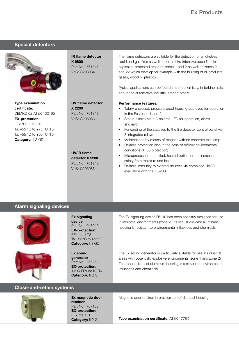|                                                                                                                                                                                                 | <b>IR flame detector</b><br>X 9800<br>Part No.: 761347<br>VdS: G203084                                                                  | The flame detectors are suitable for the detection of smokeless<br>liquid and gas fires as well as for smoke-intensive open fires in<br>explosion-protected areas of zones 1 and 2 as well as zones 21<br>and 22 which develop for example with the burning of oil products,<br>gases, wood or plastics.<br>Typical applications can be found in petrochemistry, in turbine halls,<br>and in the automotive industry, among others.                 |
|-------------------------------------------------------------------------------------------------------------------------------------------------------------------------------------------------|-----------------------------------------------------------------------------------------------------------------------------------------|-----------------------------------------------------------------------------------------------------------------------------------------------------------------------------------------------------------------------------------------------------------------------------------------------------------------------------------------------------------------------------------------------------------------------------------------------------|
| <b>Type examination</b><br>certificate:<br>DEMKO 02 ATEX 132195<br><b>EX-protection:</b><br>EEx d II C T5-T6<br>Ta: $-55$ °C to $+75$ °C (T5)<br>Ta: -55 °C to +60 °C (T6)<br>Category: II 2 GD | UV flame detector<br>X 2200<br>Part No.: 761348<br>VdS: G203083                                                                         | <b>Performance features:</b><br>Totally enclosed, pressure-proof housing approved for operation<br>in the Ex zones 1 and 2<br>Status display via a 3-colored LED for operation, alarm,<br>٠<br>and error<br>Forwarding of the statuses to the fire detector control panel via<br>٠<br>3 integrated relays<br>Maintenance by means of magnet with no separate test lamp<br>٠<br>Reliable protection also in the case of difficult environmental<br>٠ |
|                                                                                                                                                                                                 | <b>UV/IR flame</b><br>detector X 5200<br>Part No.: 761349<br>VdS: G203085                                                               | conditions (IP 66 protection)<br>Microprocessor-controlled, heated optics for the increased<br>٠<br>safety from moisture and ice<br>Reliable immunity to external sources via combined UV/IR<br>٠<br>evaluation with the X 5200                                                                                                                                                                                                                     |
| <b>Alarm signaling devices</b>                                                                                                                                                                  |                                                                                                                                         |                                                                                                                                                                                                                                                                                                                                                                                                                                                     |
|                                                                                                                                                                                                 | <b>Ex signaling</b><br>device<br>Part No.: 045040<br><b>EX-protection:</b><br>EEx ma II T3<br>Ta: -22 °C to +55 °C<br>Category: II 3 GD | The Ex signaling device DS 10 has been specially designed for use<br>in industrial environments (zone 2). Its robust die-cast aluminum<br>housing is resistant to environmental influences and chemicals.                                                                                                                                                                                                                                           |
|                                                                                                                                                                                                 | <b>Ex sound</b><br>generator<br>Part No.: 766253<br><b>EX-protection:</b><br>II 2 G EEx de IIC T4<br>Category: II 2 G                   | The Ex sound generator is particularly suitable for use in industrial<br>areas with potentially explosive environments (zone 1 and zone 2).<br>The robust die-cast aluminum housing is resistant to environmental<br>influences and chemicals.                                                                                                                                                                                                      |
| <b>Close-and-retain systems</b>                                                                                                                                                                 |                                                                                                                                         |                                                                                                                                                                                                                                                                                                                                                                                                                                                     |
|                                                                                                                                                                                                 | Ex magnetic door<br>otoinor                                                                                                             | Magnetic door retainer in pressure-proof die-cast housing.                                                                                                                                                                                                                                                                                                                                                                                          |

**Special detectors**

**retainer** Part No.: 767153 **EX-protection:** EEx me II T6 **Category:** II 2 G

**Type examination certificate:** ATEX 1778X